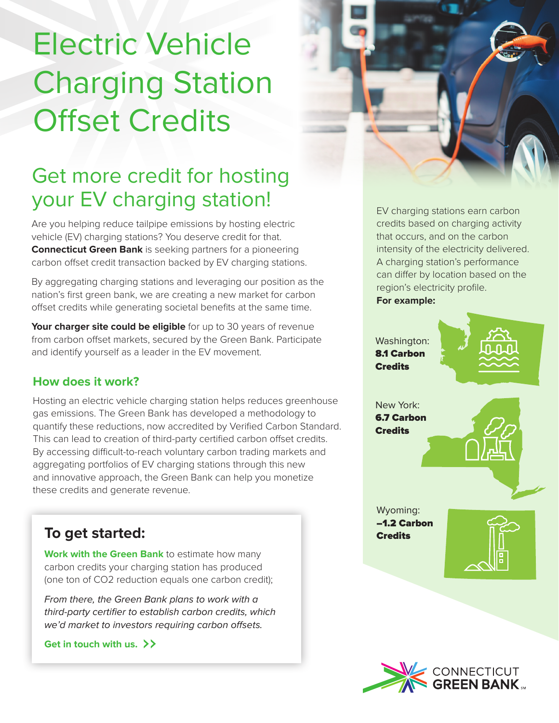# Electric Vehicle Charging Station Offset Credits

## Get more credit for hosting your EV charging station!

Are you helping reduce tailpipe emissions by hosting electric vehicle (EV) charging stations? You deserve credit for that. **Connecticut Green Bank** is seeking partners for a pioneering carbon offset credit transaction backed by EV charging stations.

By aggregating charging stations and leveraging our position as the nation's first green bank, we are creating a new market for carbon offset credits while generating societal benefits at the same time.

**Your charger site could be eligible** for up to 30 years of revenue from carbon offset markets, secured by the Green Bank. Participate and identify yourself as a leader in the EV movement.

#### **How does it work?**

Hosting an electric vehicle charging station helps reduces greenhouse gas emissions. The Green Bank has developed a methodology to quantify these reductions, now accredited by Verified Carbon Standard. This can lead to creation of third-party certified carbon offset credits. By accessing difficult-to-reach voluntary carbon trading markets and aggregating portfolios of EV charging stations through this new and innovative approach, the Green Bank can help you monetize these credits and generate revenue.

### **To get started:** Credits

**Work with the Green Bank** to estimate how many carbon credits your charging station has produced (one ton of CO2 reduction equals one carbon credit);

*From there, the Green Bank plans to work with a*  third-party certifier to establish carbon credits, which we'd market to investors requiring carbon offsets.

**Get in touch with us.**



EV charging stations earn carbon credits based on charging activity that occurs, and on the carbon intensity of the electricity delivered. A charging station's performance can differ by location based on the region's electricity profile. **For example:**